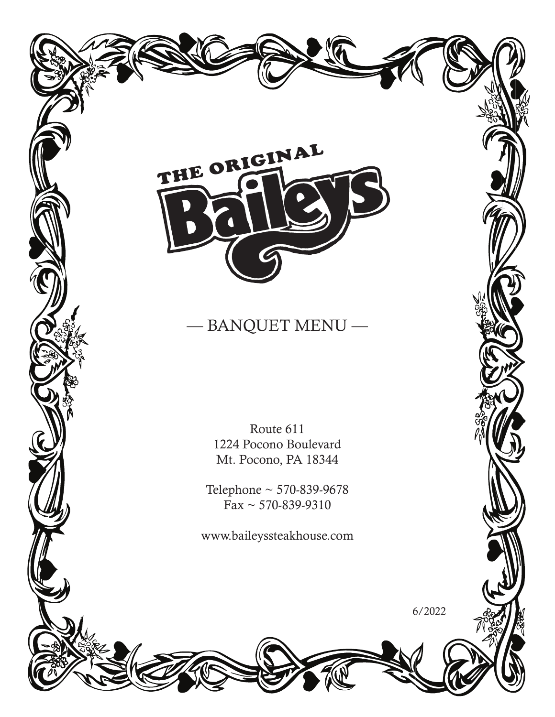

# $-$  BANQUET MENU  $-$

Route 611 1224 Pocono Boulevard Mt. Pocono, PA 18344

Telephone ~ 570-839-9678  $Fax \sim 570 - 839 - 9310$ 

www.baileyssteakhouse.com

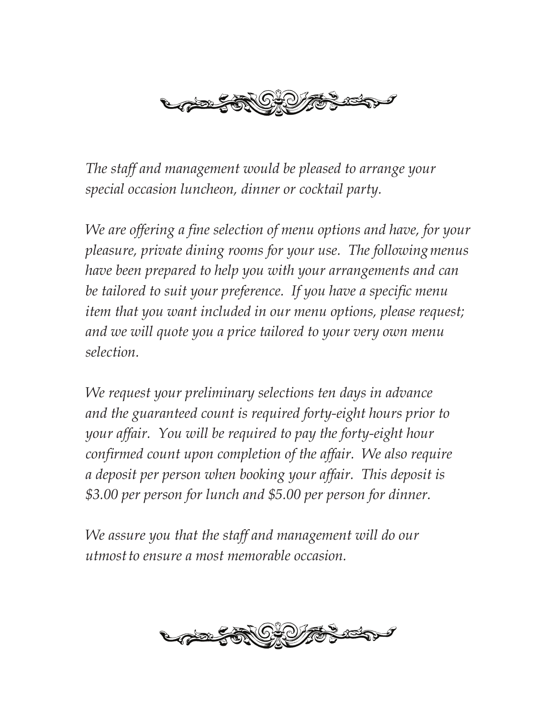

*The staff and management would be pleased to arrange your special occasion luncheon, dinner or cocktail party.*

*We are offering a fine selection of menu options and have, for your pleasure, private dining rooms for your use. The followingmenus have been prepared to help you with your arrangements and can be tailored to suit your preference. If you have a specific menu item that you want included in our menu options, please request; and we will quote you a price tailored to your very own menu selection.*

*We request your preliminary selections ten days in advance and the guaranteed count is required forty-eight hours prior to your affair. You will be required to pay the forty-eight hour confirmed count upon completion of the affair. We also require a deposit per person when booking your affair. This deposit is \$3.00 per person for lunch and \$5.00 per person for dinner.*

*We assure you that the staff and management will do our utmostto ensure a most memorable occasion.*

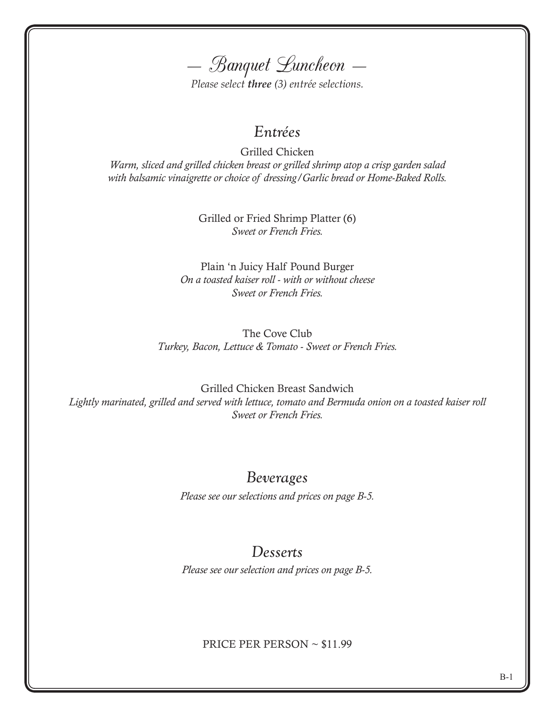— Banquet Luncheon —

*Please select three (3) entrée selections.*

### *Entrées*

Grilled Chicken *Warm, sliced and grilled chicken breast or grilled shrimp atop a crisp garden salad with balsamic vinaigrette or choice of dressing/Garlic bread or Home-Baked Rolls.*

> Grilled or Fried Shrimp Platter (6) *Sweet or French Fries.*

Plain 'n Juicy Half Pound Burger *On a toasted kaiser roll - with or without cheese Sweet or French Fries.*

The Cove Club *Turkey, Bacon, Lettuce & Tomato - Sweet or French Fries.*

Grilled Chicken Breast Sandwich *Lightly marinated, grilled and served with lettuce, tomato and Bermuda onion on a toasted kaiser roll Sweet or French Fries.*

#### *Beverages*

*Please see our selections and prices on page B-5.*

## *Desserts*

*Please see our selection and prices on page B-5.*

#### PRICE PER PERSON ~ \$11.99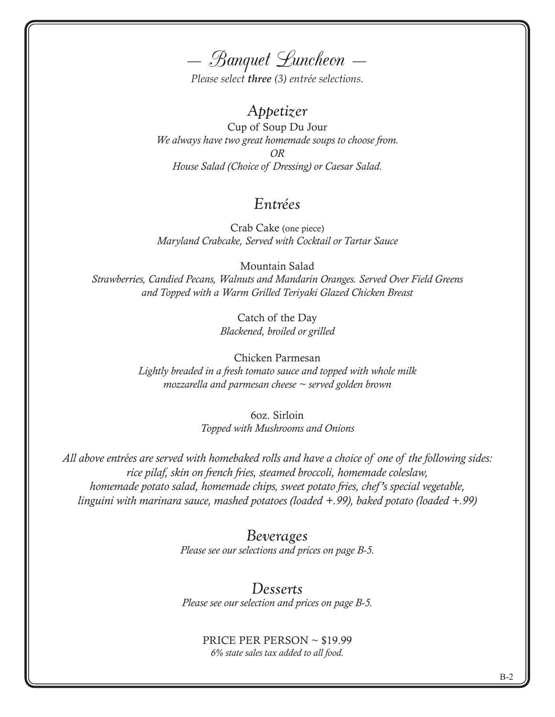— Banquet Luncheon —

*Please select three (3) entrée selections.*

#### *Appetizer*

Cup of Soup Du Jour *We always have two great homemade soups to choose from. OR House Salad (Choice of Dressing) or Caesar Salad.*

#### *Entrées*

Crab Cake (one piece) *Maryland Crabcake, Served with Cocktail or Tartar Sauce*

Mountain Salad *Strawberries, Candied Pecans, Walnuts and Mandarin Oranges. Served Over Field Greens and Topped with a Warm Grilled Teriyaki Glazed Chicken Breast*

> Catch of the Day *Blackened, broiled or grilled*

Chicken Parmesan *Lightly breaded in a fresh tomato sauce and topped with whole milk mozzarella and parmesan cheese ~ served golden brown*

> 6oz. Sirloin *Topped with Mushrooms and Onions*

*All above entrées are served with homebaked rolls and have a choice of one of the following sides: rice pilaf, skin on french fries, steamed broccoli, homemade coleslaw, homemade potato salad, homemade chips, sweet potato fries, chef 's special vegetable, linguini with marinara sauce, mashed potatoes (loaded +.99), baked potato (loaded +.99)*

#### *Beverages*

*Please see our selections and prices on page B-5.*

#### *Desserts*

*Please see our selection and prices on page B-5.*

PRICE PER PERSON ~ \$19.99 *6% state sales tax added to all food.*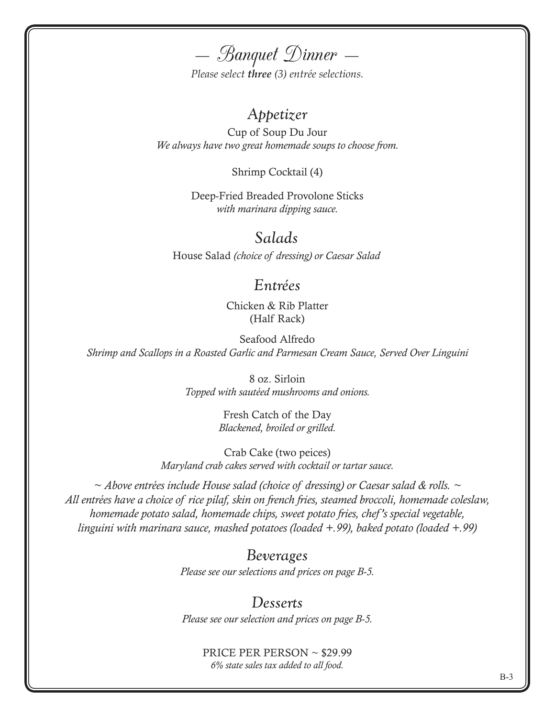— Banquet Dinner —

*Please select three (3) entrée selections.*

#### *Appetizer*

Cup of Soup Du Jour *We always have two great homemade soups to choose from.*

Shrimp Cocktail (4)

Deep-Fried Breaded Provolone Sticks *with marinara dipping sauce.*

*Salads*

House Salad *(choice of dressing) or Caesar Salad*

#### *Entrées*

Chicken & Rib Platter (Half Rack)

Seafood Alfredo *Shrimp and Scallops in a Roasted Garlic and Parmesan Cream Sauce, Served Over Linguini*

> 8 oz. Sirloin *Topped with sautéed mushrooms and onions.*

> > Fresh Catch of the Day *Blackened, broiled or grilled.*

Crab Cake (two peices) *Maryland crab cakes served with cocktail or tartar sauce.*

*~ Above entrées include House salad (choice of dressing) or Caesar salad & rolls. ~ All entrées have a choice of rice pilaf, skin on french fries, steamed broccoli, homemade coleslaw, homemade potato salad, homemade chips, sweet potato fries, chef 's special vegetable, linguini with marinara sauce, mashed potatoes (loaded +.99), baked potato (loaded +.99)*

> *Beverages Please see our selections and prices on page B-5.*

#### *Desserts*

*Please see our selection and prices on page B-5.*

PRICE PER PERSON ~ \$29.99 *6% state sales tax added to all food.*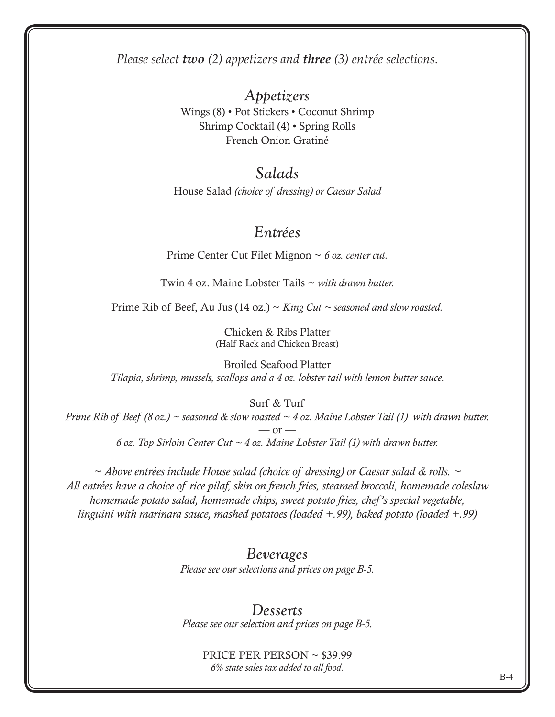*Please select two (2) appetizers and three (3) entrée selections.*

*Appetizers* Wings (8) • Pot Stickers • Coconut Shrimp Shrimp Cocktail (4) • Spring Rolls French Onion Gratiné

#### *Salads*

House Salad *(choice of dressing) or Caesar Salad*

### *Entrées*

Prime Center Cut Filet Mignon ~ *6 oz. center cut.*

Twin 4 oz. Maine Lobster Tails ~ *with drawn butter.*

Prime Rib of Beef, Au Jus (14 oz.) ~ *King Cut ~ seasoned and slow roasted.*

Chicken & Ribs Platter (Half Rack and Chicken Breast)

Broiled Seafood Platter *Tilapia, shrimp, mussels, scallops and a 4 oz. lobster tail with lemon butter sauce.*

Surf & Turf

*Prime Rib of Beef (8 oz.) ~ seasoned & slow roasted ~ 4 oz. Maine Lobster Tail (1) with drawn butter.*  $-$  or  $-$ *6 oz. Top Sirloin Center Cut ~ 4 oz. Maine Lobster Tail (1) with drawn butter.*

*~ Above entrées include House salad (choice of dressing) or Caesar salad & rolls. ~ All entrées have a choice of rice pilaf, skin on french fries, steamed broccoli, homemade coleslaw homemade potato salad, homemade chips, sweet potato fries, chef 's special vegetable, linguini with marinara sauce, mashed potatoes (loaded +.99), baked potato (loaded +.99)*

> *Beverages Please see our selections and prices on page B-5.*

> *Desserts Please see our selection and prices on page B-5.*

> > PRICE PER PERSON ~ \$39.99 *6% state sales tax added to all food.*